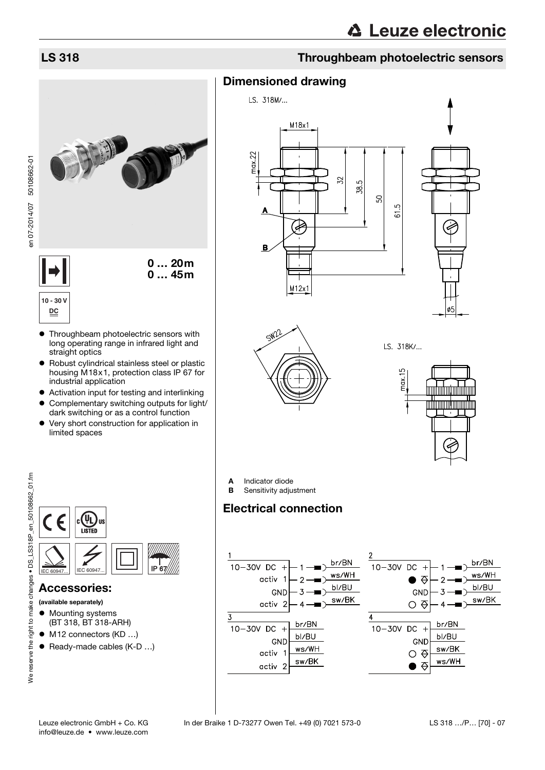## LS 318 Throughbeam photoelectric sensors



- long operating range in infrared light and straight optics
- Robust cylindrical stainless steel or plastic housing M18x1, protection class IP 67 for industrial application
- Activation input for testing and interlinking
- Complementary switching outputs for light/ dark switching or as a control function
- Very short construction for application in limited spaces



### LS. 318K/...



ىئے



### Accessories:

- (available separately)
- **•** Mounting systems (BT 318, BT 318-ARH)
- M12 connectors (KD ...)
- Ready-made cables (K-D ...)



Sensitivity adjustment

## Electrical connection

Dimensioned drawing

 $M18x1$ 

E

 $M12x1$ 

 $\overline{52}$ 

38.5

SO

 $\overline{c}$  $\overline{6}$ 

LS. 318M/...

22

nax.

B